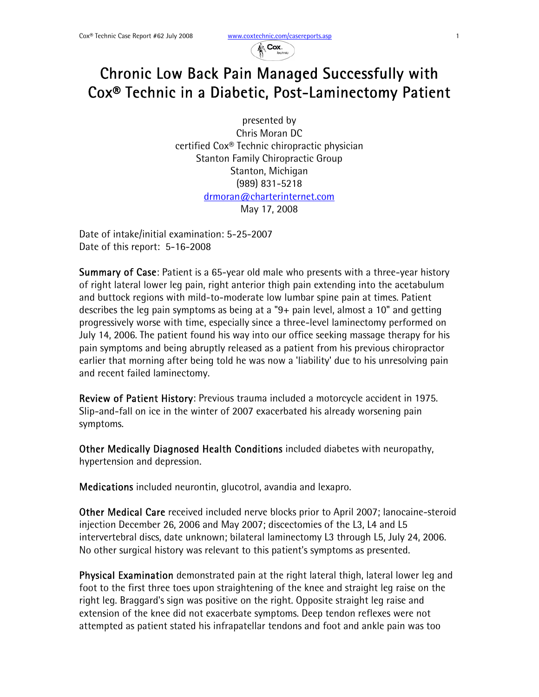

## Chronic Low Back Pain Managed Successfully with Cox® Technic in a Diabetic, Post-Laminectomy Patient

presented by Chris Moran DC certified Cox® Technic chiropractic physician Stanton Family Chiropractic Group Stanton, Michigan (989) 831-5218 drmoran@charterinternet.com May 17, 2008

Date of intake/initial examination: 5-25-2007 Date of this report: 5-16-2008

Summary of Case: Patient is a 65-year old male who presents with a three-year history of right lateral lower leg pain, right anterior thigh pain extending into the acetabulum and buttock regions with mild-to-moderate low lumbar spine pain at times. Patient describes the leg pain symptoms as being at a "9+ pain level, almost a 10" and getting progressively worse with time, especially since a three-level laminectomy performed on July 14, 2006. The patient found his way into our office seeking massage therapy for his pain symptoms and being abruptly released as a patient from his previous chiropractor earlier that morning after being told he was now a 'liability' due to his unresolving pain and recent failed laminectomy.

Review of Patient History: Previous trauma included a motorcycle accident in 1975. Slip-and-fall on ice in the winter of 2007 exacerbated his already worsening pain symptoms.

Other Medically Diagnosed Health Conditions included diabetes with neuropathy, hypertension and depression.

Medications included neurontin, glucotrol, avandia and lexapro.

Other Medical Care received included nerve blocks prior to April 2007; lanocaine-steroid injection December 26, 2006 and May 2007; discectomies of the L3, L4 and L5 intervertebral discs, date unknown; bilateral laminectomy L3 through L5, July 24, 2006. No other surgical history was relevant to this patient's symptoms as presented.

Physical Examination demonstrated pain at the right lateral thigh, lateral lower leg and foot to the first three toes upon straightening of the knee and straight leg raise on the right leg. Braggard's sign was positive on the right. Opposite straight leg raise and extension of the knee did not exacerbate symptoms. Deep tendon reflexes were not attempted as patient stated his infrapatellar tendons and foot and ankle pain was too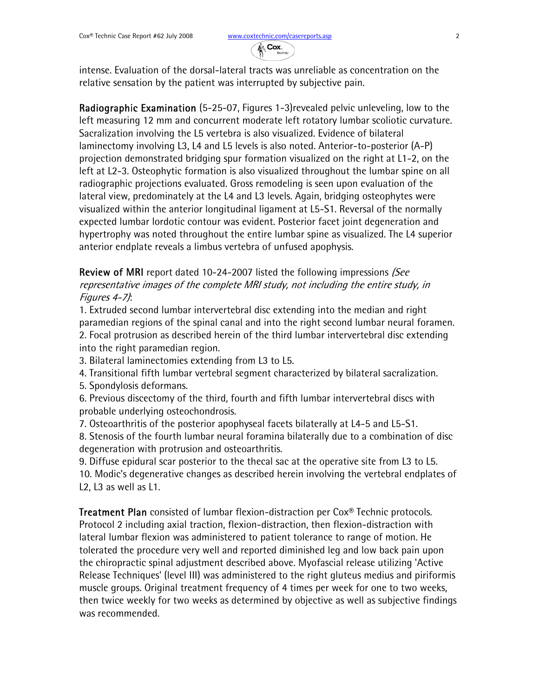

intense. Evaluation of the dorsal-lateral tracts was unreliable as concentration on the relative sensation by the patient was interrupted by subjective pain.

Radiographic Examination (5-25-07, Figures 1-3)revealed pelvic unleveling, low to the left measuring 12 mm and concurrent moderate left rotatory lumbar scoliotic curvature. Sacralization involving the L5 vertebra is also visualized. Evidence of bilateral laminectomy involving L3, L4 and L5 levels is also noted. Anterior-to-posterior (A-P) projection demonstrated bridging spur formation visualized on the right at L1-2, on the left at L2-3. Osteophytic formation is also visualized throughout the lumbar spine on all radiographic projections evaluated. Gross remodeling is seen upon evaluation of the lateral view, predominately at the L4 and L3 levels. Again, bridging osteophytes were visualized within the anterior longitudinal ligament at L5-S1. Reversal of the normally expected lumbar lordotic contour was evident. Posterior facet joint degeneration and hypertrophy was noted throughout the entire lumbar spine as visualized. The L4 superior anterior endplate reveals a limbus vertebra of unfused apophysis.

**Review of MRI** report dated 10-24-2007 listed the following impressions (See representative images of the complete MRI study, not including the entire study, in Figures 4-7):

1. Extruded second lumbar intervertebral disc extending into the median and right paramedian regions of the spinal canal and into the right second lumbar neural foramen. 2. Focal protrusion as described herein of the third lumbar intervertebral disc extending into the right paramedian region.

3. Bilateral laminectomies extending from L3 to L5.

4. Transitional fifth lumbar vertebral segment characterized by bilateral sacralization.

5. Spondylosis deformans.

6. Previous discectomy of the third, fourth and fifth lumbar intervertebral discs with probable underlying osteochondrosis.

7. Osteoarthritis of the posterior apophyseal facets bilaterally at L4-5 and L5-S1.

8. Stenosis of the fourth lumbar neural foramina bilaterally due to a combination of disc degeneration with protrusion and osteoarthritis.

9. Diffuse epidural scar posterior to the thecal sac at the operative site from L3 to L5. 10. Modic's degenerative changes as described herein involving the vertebral endplates of L2, L3 as well as L1.

Treatment Plan consisted of lumbar flexion-distraction per Cox® Technic protocols. Protocol 2 including axial traction, flexion-distraction, then flexion-distraction with lateral lumbar flexion was administered to patient tolerance to range of motion. He tolerated the procedure very well and reported diminished leg and low back pain upon the chiropractic spinal adjustment described above. Myofascial release utilizing 'Active Release Techniques' (level III) was administered to the right gluteus medius and piriformis muscle groups. Original treatment frequency of 4 times per week for one to two weeks, then twice weekly for two weeks as determined by objective as well as subjective findings was recommended.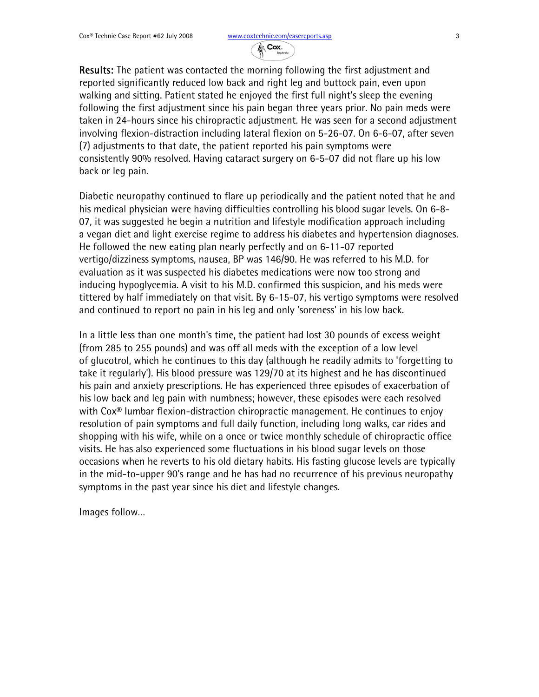

Results: The patient was contacted the morning following the first adjustment and reported significantly reduced low back and right leg and buttock pain, even upon walking and sitting. Patient stated he enjoyed the first full night's sleep the evening following the first adjustment since his pain began three years prior. No pain meds were taken in 24-hours since his chiropractic adjustment. He was seen for a second adjustment involving flexion-distraction including lateral flexion on 5-26-07. On 6-6-07, after seven (7) adjustments to that date, the patient reported his pain symptoms were consistently 90% resolved. Having cataract surgery on 6-5-07 did not flare up his low back or leg pain.

Diabetic neuropathy continued to flare up periodically and the patient noted that he and his medical physician were having difficulties controlling his blood sugar levels. On 6-8-07, it was suggested he begin a nutrition and lifestyle modification approach including a vegan diet and light exercise regime to address his diabetes and hypertension diagnoses. He followed the new eating plan nearly perfectly and on 6-11-07 reported vertigo/dizziness symptoms, nausea, BP was 146/90. He was referred to his M.D. for evaluation as it was suspected his diabetes medications were now too strong and inducing hypoglycemia. A visit to his M.D. confirmed this suspicion, and his meds were tittered by half immediately on that visit. By 6-15-07, his vertigo symptoms were resolved and continued to report no pain in his leg and only 'soreness' in his low back.

In a little less than one month's time, the patient had lost 30 pounds of excess weight (from 285 to 255 pounds) and was off all meds with the exception of a low level of glucotrol, which he continues to this day (although he readily admits to 'forgetting to take it regularly'). His blood pressure was 129/70 at its highest and he has discontinued his pain and anxiety prescriptions. He has experienced three episodes of exacerbation of his low back and leg pain with numbness; however, these episodes were each resolved with Cox® lumbar flexion-distraction chiropractic management. He continues to enjoy resolution of pain symptoms and full daily function, including long walks, car rides and shopping with his wife, while on a once or twice monthly schedule of chiropractic office visits. He has also experienced some fluctuations in his blood sugar levels on those occasions when he reverts to his old dietary habits. His fasting glucose levels are typically in the mid-to-upper 90's range and he has had no recurrence of his previous neuropathy symptoms in the past year since his diet and lifestyle changes.

Images follow…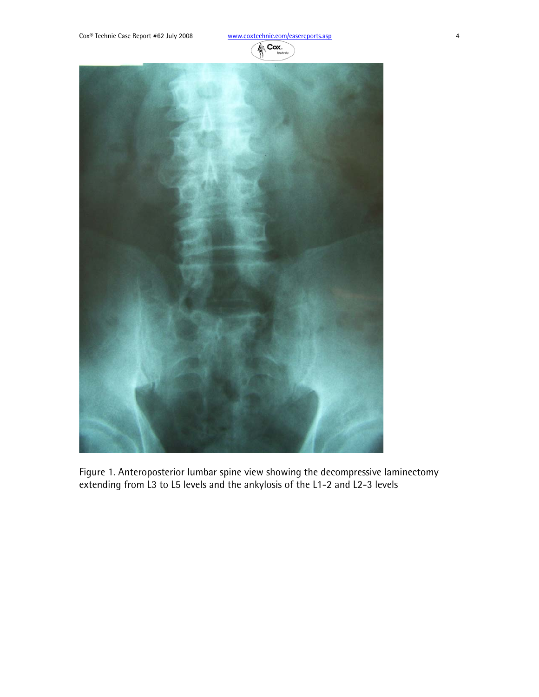



Figure 1. Anteroposterior lumbar spine view showing the decompressive laminectomy extending from L3 to L5 levels and the ankylosis of the L1-2 and L2-3 levels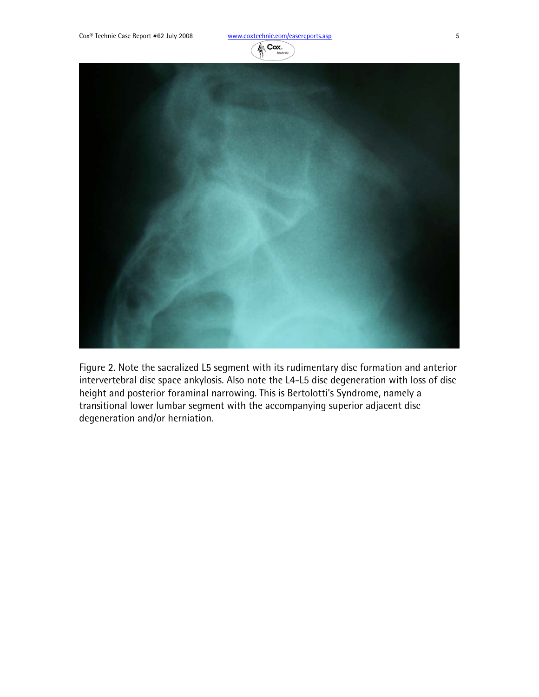

Figure 2. Note the sacralized L5 segment with its rudimentary disc formation and anterior intervertebral disc space ankylosis. Also note the L4-L5 disc degeneration with loss of disc height and posterior foraminal narrowing. This is Bertolotti's Syndrome, namely a transitional lower lumbar segment with the accompanying superior adjacent disc degeneration and/or herniation.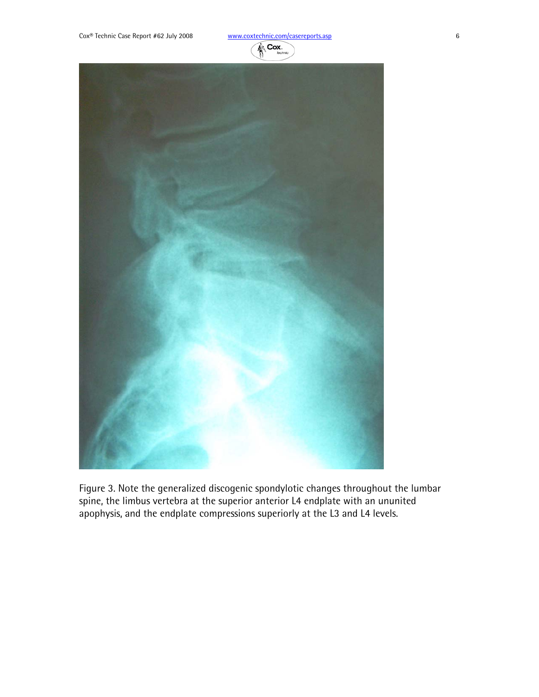

Figure 3. Note the generalized discogenic spondylotic changes throughout the lumbar spine, the limbus vertebra at the superior anterior L4 endplate with an ununited apophysis, and the endplate compressions superiorly at the L3 and L4 levels.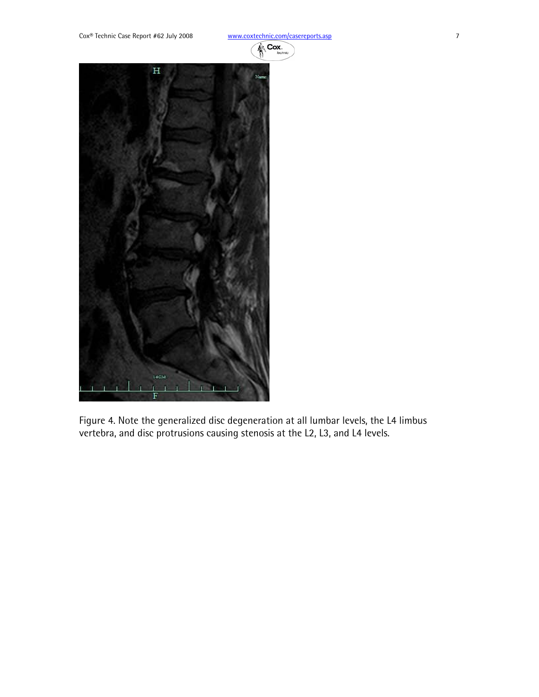

Figure 4. Note the generalized disc degeneration at all lumbar levels, the L4 limbus vertebra, and disc protrusions causing stenosis at the L2, L3, and L4 levels.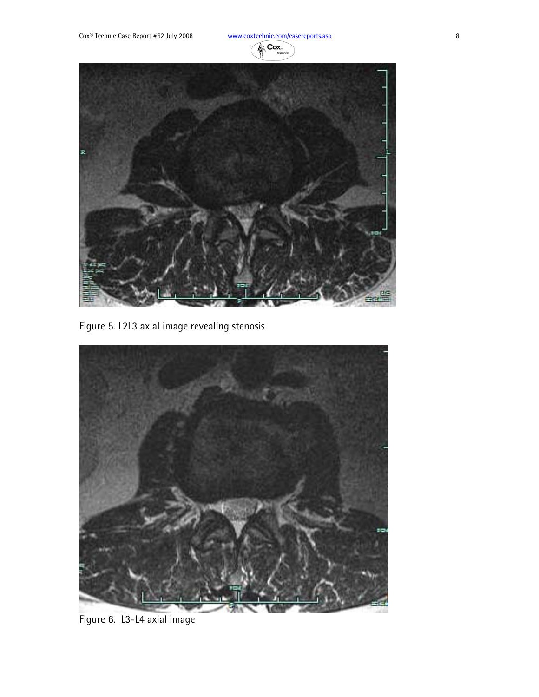



Figure 5. L2L3 axial image revealing stenosis



Figure 6. L3-L4 axial image